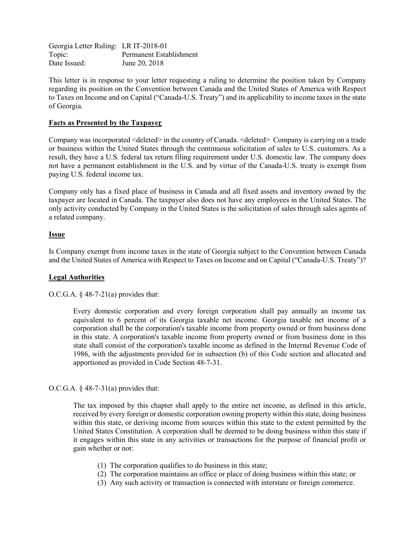Georgia Letter Ruling: LR IT-2018-01 Topic: Permanent Establishment Date Issued: June 20, 2018

This letter is in response to your letter requesting a ruling to determine the position taken by Company regarding its position on the Convention between Canada and the United States of America with Respect to Taxes on Income and on Capital ("Canada-U.S. Treaty") and its applicability to income taxes in the state of Georgia.

# **Facts as Presented by the Taxpayer**

Company was incorporated <deleted> in the country of Canada. <deleted> Company is carrying on a trade or business within the United States through the continuous solicitation of sales to U.S. customers. As a result, they have a U.S. federal tax return filing requirement under U.S. domestic law. The company does not have a permanent establishment in the U.S. and by virtue of the Canada-U.S. treaty is exempt from paying U.S. federal income tax.

Company only has a fixed place of business in Canada and all fixed assets and inventory owned by the taxpayer are located in Canada. The taxpayer also does not have any employees in the United States. The only activity conducted by Company in the United States is the solicitation of sales through sales agents of a related company.

## **Issue**

Is Company exempt from income taxes in the state of Georgia subject to the Convention between Canada and the United States of America with Respect to Taxes on Income and on Capital ("Canada-U.S. Treaty")?

## **Legal Authorities**

O.C.G.A.  $§$  48-7-21(a) provides that:

Every domestic corporation and every foreign corporation shall pay annually an income tax equivalent to 6 percent of its Georgia taxable net income. Georgia taxable net income of a corporation shall be the corporation's taxable income from property owned or from business done in this state. A corporation's taxable income from property owned or from business done in this state shall consist of the corporation's taxable income as defined in the Internal Revenue Code of 1986, with the adjustments provided for in subsection (b) of this Code section and allocated and apportioned as provided in Code Section 48-7-31.

## O.C.G.A.  $§$  48-7-31(a) provides that:

The tax imposed by this chapter shall apply to the entire net income, as defined in this article, received by every foreign or domestic corporation owning property within this state, doing business within this state, or deriving income from sources within this state to the extent permitted by the United States Constitution. A corporation shall be deemed to be doing business within this state if it engages within this state in any activities or transactions for the purpose of financial profit or gain whether or not:

- (1) The corporation qualifies to do business in this state;
- (2) The corporation maintains an office or place of doing business within this state; or
- (3) Any such activity or transaction is connected with interstate or foreign commerce.